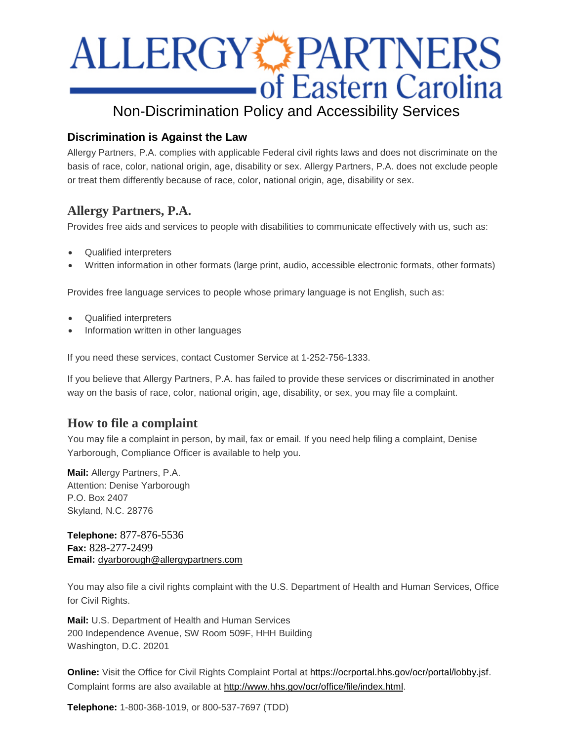# **ALLERGY PARTNERS**<br> **CONSTRARTNERS**

# Non-Discrimination Policy and Accessibility Services

# **Discrimination is Against the Law**

Allergy Partners, P.A. complies with applicable Federal civil rights laws and does not discriminate on the basis of race, color, national origin, age, disability or sex. Allergy Partners, P.A. does not exclude people or treat them differently because of race, color, national origin, age, disability or sex.

# **Allergy Partners, P.A.**

Provides free aids and services to people with disabilities to communicate effectively with us, such as:

- Qualified interpreters
- Written information in other formats (large print, audio, accessible electronic formats, other formats)

Provides free language services to people whose primary language is not English, such as:

- Qualified interpreters
- Information written in other languages

If you need these services, contact Customer Service at 1-252-756-1333.

If you believe that Allergy Partners, P.A. has failed to provide these services or discriminated in another way on the basis of race, color, national origin, age, disability, or sex, you may file a complaint.

# **How to file a complaint**

You may file a complaint in person, by mail, fax or email. If you need help filing a complaint, Denise Yarborough, Compliance Officer is available to help you.

**Mail:** Allergy Partners, P.A. Attention: Denise Yarborough P.O. Box 2407 Skyland, N.C. 28776

**Telephone:** 877-876-5536 **Fax:** 828-277-2499 **Email:** [dyarborough@allergypartners.com](mailto:dyarborough@allergypartners.com)

You may also file a civil rights complaint with the U.S. Department of Health and Human Services, Office for Civil Rights.

**Mail:** U.S. Department of Health and Human Services 200 Independence Avenue, SW Room 509F, HHH Building Washington, D.C. 20201

**Online:** Visit the Office for Civil Rights Complaint Portal at [https://ocrportal.hhs.gov/ocr/portal/lobby.jsf.](https://ocrportal.hhs.gov/ocr/portal/lobby.jsf) Complaint forms are also available at [http://www.hhs.gov/ocr/office/file/index.html.](http://www.hhs.gov/ocr/office/file/index.html)

**Telephone:** 1-800-368-1019, or 800-537-7697 (TDD)